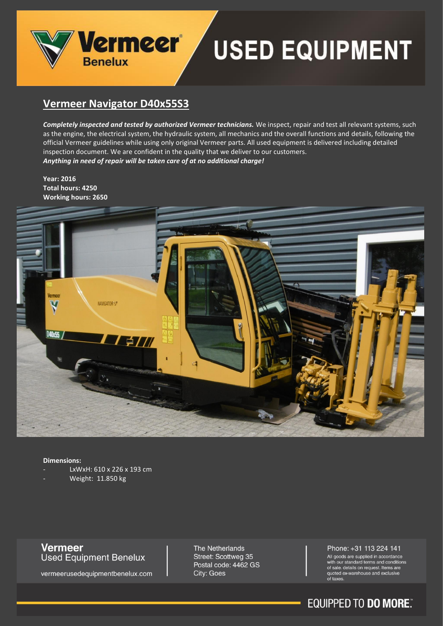

## **USED EQUIPMENT**

## **Vermeer Navigator D40x55S3**

*Completely inspected and tested by authorized Vermeer technicians.* We inspect, repair and test all relevant systems, such as the engine, the electrical system, the hydraulic system, all mechanics and the overall functions and details, following the official Vermeer guidelines while using only original Vermeer parts. All used equipment is delivered including detailed inspection document. We are confident in the quality that we deliver to our customers. *Anything in need of repair will be taken care of at no additional charge!*

**Year: 2016 Total hours: 4250 Working hours: 2650**



#### **Dimensions:**

- LxWxH: 610 x 226 x 193 cm
- Weight: 11.850 kg

## **Vermeer**<br>Used Equipment Benelux

vermeerusedequipmentbenelux.com

The Netherlands Street: Scottweg 35 Postal code: 4462 GS City: Goes

#### Phone: +31 113 224 141

All goods are supplied in accordance<br>with our standard terms and conditions of sale. details on request. Items are quoted ex-warehouse and exclusive<br>of taxes.

## **EQUIPPED TO DO MORE**.